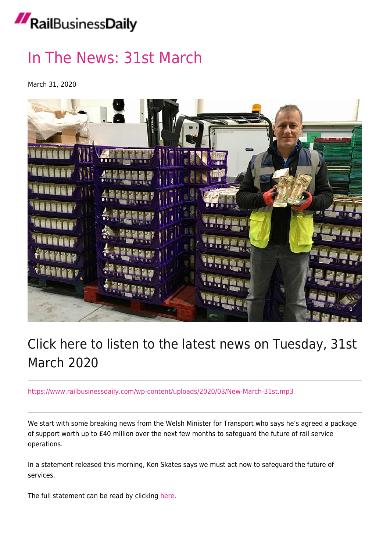## RailBusinessDaily

## [In The News: 31st March](https://news.railbusinessdaily.com/in-the-news-31st-march/)

March 31, 2020



## Click here to listen to the latest news on Tuesday, 31st March 2020

<https://www.railbusinessdaily.com/wp-content/uploads/2020/03/New-March-31st.mp3>

We start with some breaking news from the Welsh Minister for Transport who says he's agreed a package of support worth up to £40 million over the next few months to safeguard the future of rail service operations.

In a statement released this morning, Ken Skates says we must act now to safeguard the future of services.

The full statement can be read by clicking [here.](https://www.railbusinessdaily.com/package-of-support-worth-up-to-40m-to-safeguard-the-future-of-rail-service-operations-in-wales/)